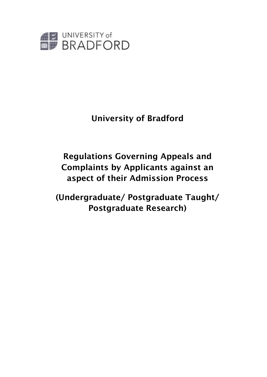

# University of Bradford

# Regulations Governing Appeals and Complaints by Applicants against an aspect of their Admission Process

(Undergraduate/ Postgraduate Taught/ Postgraduate Research)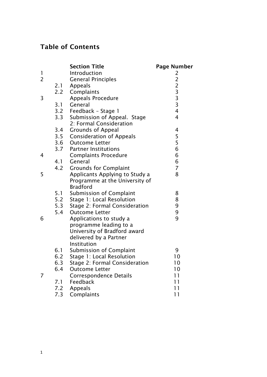# Table of Contents

|                |     | <b>Section Title</b>                                     | <b>Page Number</b>                         |
|----------------|-----|----------------------------------------------------------|--------------------------------------------|
| 1              |     | Introduction                                             | 2                                          |
| $\overline{2}$ |     | <b>General Principles</b>                                | $\frac{2}{2}$                              |
|                | 2.1 | Appeals                                                  |                                            |
|                | 2.2 | Complaints                                               |                                            |
| 3              |     | <b>Appeals Procedure</b>                                 | $\begin{array}{c} 3 \\ 3 \\ 3 \end{array}$ |
|                | 3.1 | General                                                  |                                            |
|                |     | 3.2 Feedback - Stage 1                                   | $\overline{4}$<br>$\overline{4}$           |
|                | 3.3 | Submission of Appeal. Stage<br>2: Formal Consideration   |                                            |
|                | 3.4 |                                                          | 4                                          |
|                |     | <b>Grounds of Appeal</b><br>3.5 Consideration of Appeals | 5                                          |
|                |     | 3.6 Outcome Letter                                       | 5                                          |
|                |     | 3.7 Partner Institutions                                 | 6                                          |
| 4              |     | <b>Complaints Procedure</b>                              | 6                                          |
|                | 4.1 | General                                                  | 6                                          |
|                | 4.2 | <b>Grounds for Complaint</b>                             | $\overline{7}$                             |
| 5              |     | Applicants Applying to Study a                           | 8                                          |
|                |     | Programme at the University of                           |                                            |
|                |     | <b>Bradford</b>                                          |                                            |
|                | 5.1 | <b>Submission of Complaint</b>                           | 8                                          |
|                | 5.2 | Stage 1: Local Resolution                                | 8                                          |
|                | 5.3 | Stage 2: Formal Consideration                            | 9                                          |
|                | 5.4 | <b>Outcome Letter</b>                                    | 9                                          |
| 6              |     | Applications to study a                                  | 9                                          |
|                |     | programme leading to a                                   |                                            |
|                |     | University of Bradford award                             |                                            |
|                |     | delivered by a Partner                                   |                                            |
|                |     | Institution                                              |                                            |
|                |     | 6.1 Submission of Complaint                              | 9                                          |
|                | 6.2 | Stage 1: Local Resolution                                | 10                                         |
|                | 6.3 | Stage 2: Formal Consideration                            | 10                                         |
|                | 6.4 | <b>Outcome Letter</b>                                    | 10                                         |
| 7              |     | <b>Correspondence Details</b>                            | 11                                         |
|                | 7.1 | Feedback                                                 | 11                                         |
|                | 7.2 | Appeals                                                  | 11                                         |
|                | 7.3 | Complaints                                               | 11                                         |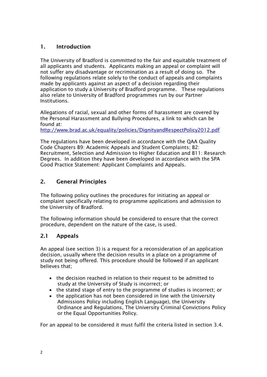### 1. Introduction

The University of Bradford is committed to the fair and equitable treatment of all applicants and students. Applicants making an appeal or complaint will not suffer any disadvantage or recrimination as a result of doing so. The following regulations relate solely to the conduct of appeals and complaints made by applicants against an aspect of a decision regarding their application to study a University of Bradford programme. These regulations also relate to University of Bradford programmes run by our Partner Institutions.

Allegations of racial, sexual and other forms of harassment are covered by the Personal Harassment and Bullying Procedures, a link to which can be found at:

<http://www.brad.ac.uk/equality/policies/DignityandRespectPolicy2012.pdf>

The regulations have been developed in accordance with the QAA Quality Code Chapters B9: Academic Appeals and Student Complaints; B2: Recruitment, Selection and Admission to Higher Education and B11: Research Degrees. In addition they have been developed in accordance with the SPA Good Practice Statement: Applicant Complaints and Appeals.

# 2. General Principles

The following policy outlines the procedures for initiating an appeal or complaint specifically relating to programme applications and admission to the University of Bradford.

The following information should be considered to ensure that the correct procedure, dependent on the nature of the case, is used.

# 2.1 Appeals

An appeal (see section 3) is a request for a reconsideration of an application decision, usually where the decision results in a place on a programme of study not being offered. This procedure should be followed if an applicant believes that;

- the decision reached in relation to their request to be admitted to study at the University of Study is incorrect; or
- the stated stage of entry to the programme of studies is incorrect; or
- the application has not been considered in line with the University Admissions Policy including English Language), the University Ordinance and Regulations, The University Criminal Convictions Policy or the Equal Opportunities Policy.

For an appeal to be considered it must fulfil the criteria listed in section 3.4.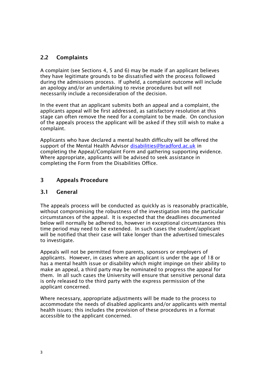# 2.2 Complaints

A complaint (see Sections 4, 5 and 6) may be made if an applicant believes they have legitimate grounds to be dissatisfied with the process followed during the admissions process. If upheld, a complaint outcome will include an apology and/or an undertaking to revise procedures but will not necessarily include a reconsideration of the decision.

In the event that an applicant submits both an appeal and a complaint, the applicants appeal will be first addressed, as satisfactory resolution at this stage can often remove the need for a complaint to be made. On conclusion of the appeals process the applicant will be asked if they still wish to make a complaint.

Applicants who have declared a mental health difficulty will be offered the support of the Mental Health Advisor [disabilities@bradford.ac.uk](mailto:disabilities@bradford.ac.uk) in completing the Appeal/Complaint Form and gathering supporting evidence. Where appropriate, applicants will be advised to seek assistance in completing the Form from the Disabilities Office.

# 3 Appeals Procedure

#### 3.1 General

The appeals process will be conducted as quickly as is reasonably practicable, without compromising the robustness of the investigation into the particular circumstances of the appeal. It is expected that the deadlines documented below will normally be adhered to, however in exceptional circumstances this time period may need to be extended. In such cases the student/applicant will be notified that their case will take longer than the advertised timescales to investigate.

Appeals will not be permitted from parents, sponsors or employers of applicants. However, in cases where an applicant is under the age of 18 or has a mental health issue or disability which might impinge on their ability to make an appeal, a third party may be nominated to progress the appeal for them. In all such cases the University will ensure that sensitive personal data is only released to the third party with the express permission of the applicant concerned.

Where necessary, appropriate adjustments will be made to the process to accommodate the needs of disabled applicants and/or applicants with mental health issues; this includes the provision of these procedures in a format accessible to the applicant concerned.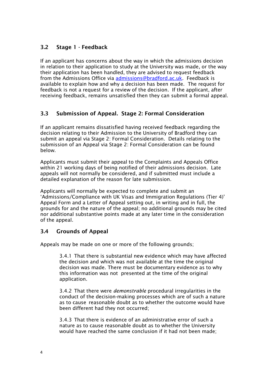# 3.2 Stage 1 - Feedback

If an applicant has concerns about the way in which the admissions decision in relation to their application to study at the University was made, or the way their application has been handled, they are advised to request feedback from the Admissions Office via admissions@bradford.ac.uk. Feedback is available to explain how and why a decision has been made. The request for feedback is not a request for a review of the decision. If the applicant, after receiving feedback, remains unsatisfied then they can submit a formal appeal.

# 3.3 Submission of Appeal. Stage 2: Formal Consideration

If an applicant remains dissatisfied having received feedback regarding the decision relating to their Admission to the University of Bradford they can submit an appeal via Stage 2: Formal Consideration. Details relating to the submission of an Appeal via Stage 2: Formal Consideration can be found below.

Applicants must submit their appeal to the Complaints and Appeals Office within 21 working days of being notified of their admissions decision. Late appeals will not normally be considered, and if submitted must include a detailed explanation of the reason for late submission.

Applicants will normally be expected to complete and submit an 'Admissions/Compliance with UK Visas and Immigration Regulations (Tier 4)' Appeal Form and a Letter of Appeal setting out, in writing and in full, the grounds for and the nature of the appeal; no additional grounds may be cited nor additional substantive points made at any later time in the consideration of the appeal.

# 3.4 Grounds of Appeal

Appeals may be made on one or more of the following grounds;

3.4.1 That there is substantial new evidence which may have affected the decision and which was not available at the time the original decision was made. There must be documentary evidence as to why this information was not presented at the time of the original application.

3.4.2 That there were *demonstrable* procedural irregularities in the conduct of the decision-making processes which are of such a nature as to cause reasonable doubt as to whether the outcome would have been different had they not occurred;

3.4.3 That there is evidence of an administrative error of such a nature as to cause reasonable doubt as to whether the University would have reached the same conclusion if it had not been made;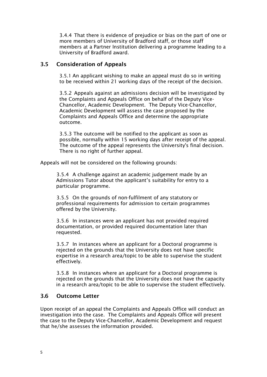3.4.4 That there is evidence of prejudice or bias on the part of one or more members of University of Bradford staff, or those staff members at a Partner Institution delivering a programme leading to a University of Bradford award.

#### 3.5 Consideration of Appeals

3.5.1 An applicant wishing to make an appeal must do so in writing to be received within 21 working days of the receipt of the decision.

3.5.2 Appeals against an admissions decision will be investigated by the Complaints and Appeals Office on behalf of the Deputy Vice-Chancellor, Academic Development. The Deputy Vice-Chancellor, Academic Development will assess the case proposed by the Complaints and Appeals Office and determine the appropriate outcome.

3.5.3 The outcome will be notified to the applicant as soon as possible, normally within 15 working days after receipt of the appeal. The outcome of the appeal represents the University's final decision. There is no right of further appeal.

Appeals will not be considered on the following grounds:

3.5.4 A challenge against an academic judgement made by an Admissions Tutor about the applicant's suitability for entry to a particular programme.

3.5.5 On the grounds of non-fulfilment of any statutory or professional requirements for admission to certain programmes offered by the University.

3.5.6 In instances were an applicant has not provided required documentation, or provided required documentation later than requested.

3.5.7 In instances where an applicant for a Doctoral programme is rejected on the grounds that the University does not have specific expertise in a research area/topic to be able to supervise the student effectively.

3.5.8 In instances where an applicant for a Doctoral programme is rejected on the grounds that the University does not have the capacity in a research area/topic to be able to supervise the student effectively.

#### 3.6 Outcome Letter

Upon receipt of an appeal the Complaints and Appeals Office will conduct an investigation into the case. The Complaints and Appeals Office will present the case to the Deputy Vice-Chancellor, Academic Development and request that he/she assesses the information provided.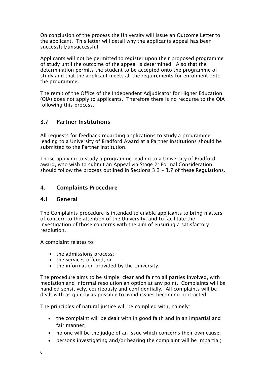On conclusion of the process the University will issue an Outcome Letter to the applicant. This letter will detail why the applicants appeal has been successful/unsuccessful.

Applicants will not be permitted to register upon their proposed programme of study until the outcome of the appeal is determined. Also that the determination permits the student to be accepted onto the programme of study and that the applicant meets all the requirements for enrolment onto the programme.

The remit of the Office of the Independent Adjudicator for Higher Education (OIA) does not apply to applicants. Therefore there is no recourse to the OIA following this process.

# 3.7 Partner Institutions

All requests for feedback regarding applications to study a programme leading to a University of Bradford Award at a Partner Institutions should be submitted to the Partner Institution.

Those applying to study a programme leading to a University of Bradford award, who wish to submit an Appeal via Stage 2: Formal Consideration, should follow the process outlined in Sections 3.3 – 3.7 of these Regulations.

#### 4. Complaints Procedure

#### 4.1 General

The Complaints procedure is intended to enable applicants to bring matters of concern to the attention of the University, and to facilitate the investigation of those concerns with the aim of ensuring a satisfactory resolution.

A complaint relates to:

- the admissions process:
- the services offered; or
- the information provided by the University.

The procedure aims to be simple, clear and fair to all parties involved, with mediation and informal resolution an option at any point. Complaints will be handled sensitively, courteously and confidentially. All complaints will be dealt with as quickly as possible to avoid issues becoming protracted.

The principles of natural justice will be complied with, namely:

- the complaint will be dealt with in good faith and in an impartial and fair manner;
- no one will be the judge of an issue which concerns their own cause;
- persons investigating and/or hearing the complaint will be impartial;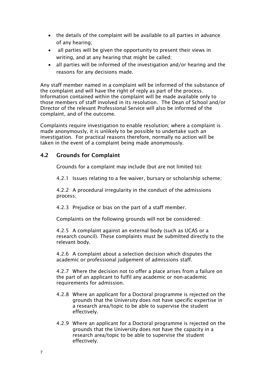- the details of the complaint will be available to all parties in advance of any hearing;
- all parties will be given the opportunity to present their views in writing, and at any hearing that might be called;
- all parties will be informed of the investigation and/or hearing and the reasons for any decisions made.

Any staff member named in a complaint will be informed of the substance of the complaint and will have the right of reply as part of the process. Information contained within the complaint will be made available only to those members of staff involved in its resolution. The Dean of School and/or Director of the relevant Professional Service will also be informed of the complaint, and of the outcome.

Complaints require investigation to enable resolution; where a complaint is made anonymously, it is unlikely to be possible to undertake such an investigation. For practical reasons therefore, normally no action will be taken in the event of a complaint being made anonymously.

#### 4.2 Grounds for Complaint

Grounds for a complaint may include (but are not limited to):

4.2.1 Issues relating to a fee waiver, bursary or scholarship scheme;

4.2.2 A procedural irregularity in the conduct of the admissions process;

4.2.3 Prejudice or bias on the part of a staff member.

Complaints on the following grounds will not be considered:

4.2.5 A complaint against an external body (such as UCAS or a research council). These complaints must be submitted directly to the relevant body.

4.2.6 A complaint about a selection decision which disputes the academic or professional judgement of admissions staff.

4.2.7 Where the decision not to offer a place arises from a failure on the part of an applicant to fulfil any academic or non-academic requirements for admission.

- 4.2.8 Where an applicant for a Doctoral programme is rejected on the grounds that the University does not have specific expertise in a research area/topic to be able to supervise the student effectively.
- 4.2.9 Where an applicant for a Doctoral programme is rejected on the grounds that the University does not have the capacity in a research area/topic to be able to supervise the student effectively.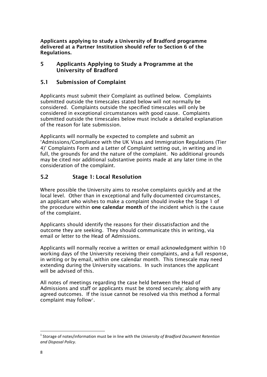Applicants applying to study a University of Bradford programme delivered at a Partner Institution should refer to Section 6 of the Regulations.

#### 5 Applicants Applying to Study a Programme at the University of Bradford

#### 5.1 Submission of Complaint

Applicants must submit their Complaint as outlined below. Complaints submitted outside the timescales stated below will not normally be considered. Complaints outside the specified timescales will only be considered in exceptional circumstances with good cause. Complaints submitted outside the timescales below must include a detailed explanation of the reason for late submission.

Applicants will normally be expected to complete and submit an 'Admissions/Compliance with the UK Visas and Immigration Regulations (Tier 4)' Complaints Form and a Letter of Complaint setting out, in writing and in full, the grounds for and the nature of the complaint. No additional grounds may be cited nor additional substantive points made at any later time in the consideration of the complaint.

#### 5.2 Stage 1: Local Resolution

Where possible the University aims to resolve complaints quickly and at the local level. Other than in exceptional and fully documented circumstances, an applicant who wishes to make a complaint should invoke the Stage 1 of the procedure within one calendar month of the incident which is the cause of the complaint.

Applicants should identify the reasons for their dissatisfaction and the outcome they are seeking. They should communicate this in writing, via email or letter to the Head of Admissions.

Applicants will normally receive a written or email acknowledgment within 10 working days of the University receiving their complaints, and a full response, in writing or by email, within one calendar month. This timescale may need extending during the University vacations. In such instances the applicant will be advised of this.

All notes of meetings regarding the case held between the Head of Admissions and staff or applicants must be stored securely; along with any agreed outcomes. If the issue cannot be resolved via this method a formal complaint may follow<sup>[1](#page-8-0)</sup>.

 $\overline{a}$ 

<span id="page-8-0"></span><sup>1</sup> Storage of notes/information must be in line with the *University of Bradford Document Retention and Disposal Policy*.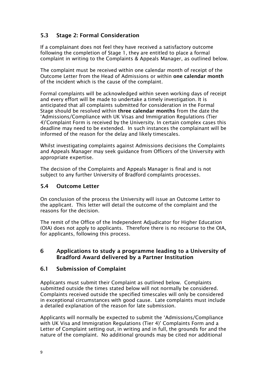# 5.3 Stage 2: Formal Consideration

If a complainant does not feel they have received a satisfactory outcome following the completion of Stage 1, they are entitled to place a formal complaint in writing to the Complaints & Appeals Manager, as outlined below.

The complaint must be received within one calendar month of receipt of the Outcome Letter from the Head of Admissions or within one calendar month of the incident which is the cause of the complaint.

Formal complaints will be acknowledged within seven working days of receipt and every effort will be made to undertake a timely investigation. It is anticipated that all complaints submitted for consideration in the Formal Stage should be resolved within three calendar months from the date the 'Admissions/Compliance with UK Visas and Immigration Regulations (Tier 4)'Complaint Form is received by the University. In certain complex cases this deadline may need to be extended. In such instances the complainant will be informed of the reason for the delay and likely timescales.

Whilst investigating complaints against Admissions decisions the Complaints and Appeals Manager may seek guidance from Officers of the University with appropriate expertise.

The decision of the Complaints and Appeals Manager is final and is not subject to any further University of Bradford complaints processes.

### 5.4 Outcome Letter

On conclusion of the process the University will issue an Outcome Letter to the applicant. This letter will detail the outcome of the complaint and the reasons for the decision.

The remit of the Office of the Independent Adjudicator for Higher Education (OIA) does not apply to applicants. Therefore there is no recourse to the OIA, for applicants, following this process.

#### 6 Applications to study a programme leading to a University of Bradford Award delivered by a Partner Institution

#### 6.1 Submission of Complaint

Applicants must submit their Complaint as outlined below. Complaints submitted outside the times stated below will not normally be considered. Complaints received outside the specified timescales will only be considered in exceptional circumstances with good cause. Late complaints must include a detailed explanation of the reason for late submission.

Applicants will normally be expected to submit the 'Admissions/Compliance with UK Visa and Immigration Regulations (Tier 4)' Complaints Form and a Letter of Complaint setting out, in writing and in full, the grounds for and the nature of the complaint. No additional grounds may be cited nor additional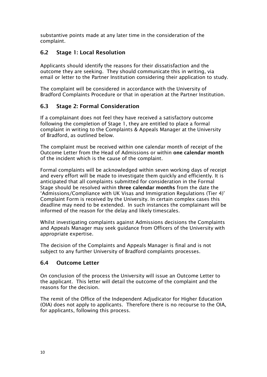substantive points made at any later time in the consideration of the complaint.

# 6.2 Stage 1: Local Resolution

Applicants should identify the reasons for their dissatisfaction and the outcome they are seeking. They should communicate this in writing, via email or letter to the Partner Institution considering their application to study.

The complaint will be considered in accordance with the University of Bradford Complaints Procedure or that in operation at the Partner Institution.

# 6.3 Stage 2: Formal Consideration

If a complainant does not feel they have received a satisfactory outcome following the completion of Stage 1, they are entitled to place a formal complaint in writing to the Complaints & Appeals Manager at the University of Bradford, as outlined below.

The complaint must be received within one calendar month of receipt of the Outcome Letter from the Head of Admissions or within one calendar month of the incident which is the cause of the complaint.

Formal complaints will be acknowledged within seven working days of receipt and every effort will be made to investigate them quickly and efficiently. It is anticipated that all complaints submitted for consideration in the Formal Stage should be resolved within three calendar months from the date the 'Admissions/Compliance with UK Visas and Immigration Regulations (Tier 4)' Complaint Form is received by the University. In certain complex cases this deadline may need to be extended. In such instances the complainant will be informed of the reason for the delay and likely timescales.

Whilst investigating complaints against Admissions decisions the Complaints and Appeals Manager may seek guidance from Officers of the University with appropriate expertise.

The decision of the Complaints and Appeals Manager is final and is not subject to any further University of Bradford complaints processes.

# 6.4 Outcome Letter

On conclusion of the process the University will issue an Outcome Letter to the applicant. This letter will detail the outcome of the complaint and the reasons for the decision.

The remit of the Office of the Independent Adjudicator for Higher Education (OIA) does not apply to applicants. Therefore there is no recourse to the OIA, for applicants, following this process.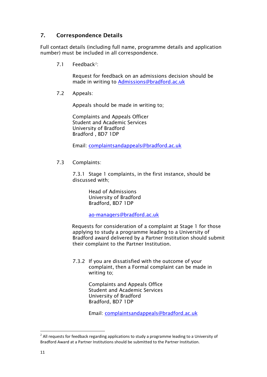# 7. Correspondence Details

Full contact details (including full name, programme details and application number) must be included in all correspondence.

7.1 Feedback<sup>[2](#page-11-0)</sup>:

Request for feedback on an admissions decision should be made in writing to Admissions@bradford.ac.uk

7.2 Appeals:

Appeals should be made in writing to;

Complaints and Appeals Officer Student and Academic Services University of Bradford Bradford , BD7 1DP

Email: [complaintsandappeals@bradford.ac.uk](mailto:complaintsandappeals@bradford.ac.uk)

7.3 Complaints:

7.3.1 Stage 1 complaints, in the first instance, should be discussed with;

> Head of Admissions University of Bradford Bradford, BD7 1DP

ao-managers@bradford.ac.uk

Requests for consideration of a complaint at Stage 1 for those applying to study a programme leading to a University of Bradford award delivered by a Partner Institution should submit their complaint to the Partner Institution.

7.3.2 If you are dissatisfied with the outcome of your complaint, then a Formal complaint can be made in writing to;

> Complaints and Appeals Office Student and Academic Services University of Bradford Bradford, BD7 1DP

Email: [complaintsandappeals@bradford.ac.uk](mailto:complaintsandappeals@bradford.ac.uk)

 $\overline{a}$ 

<span id="page-11-0"></span> $2$  All requests for feedback regarding applications to study a programme leading to a University of Bradford Award at a Partner Institutions should be submitted to the Partner Institution.